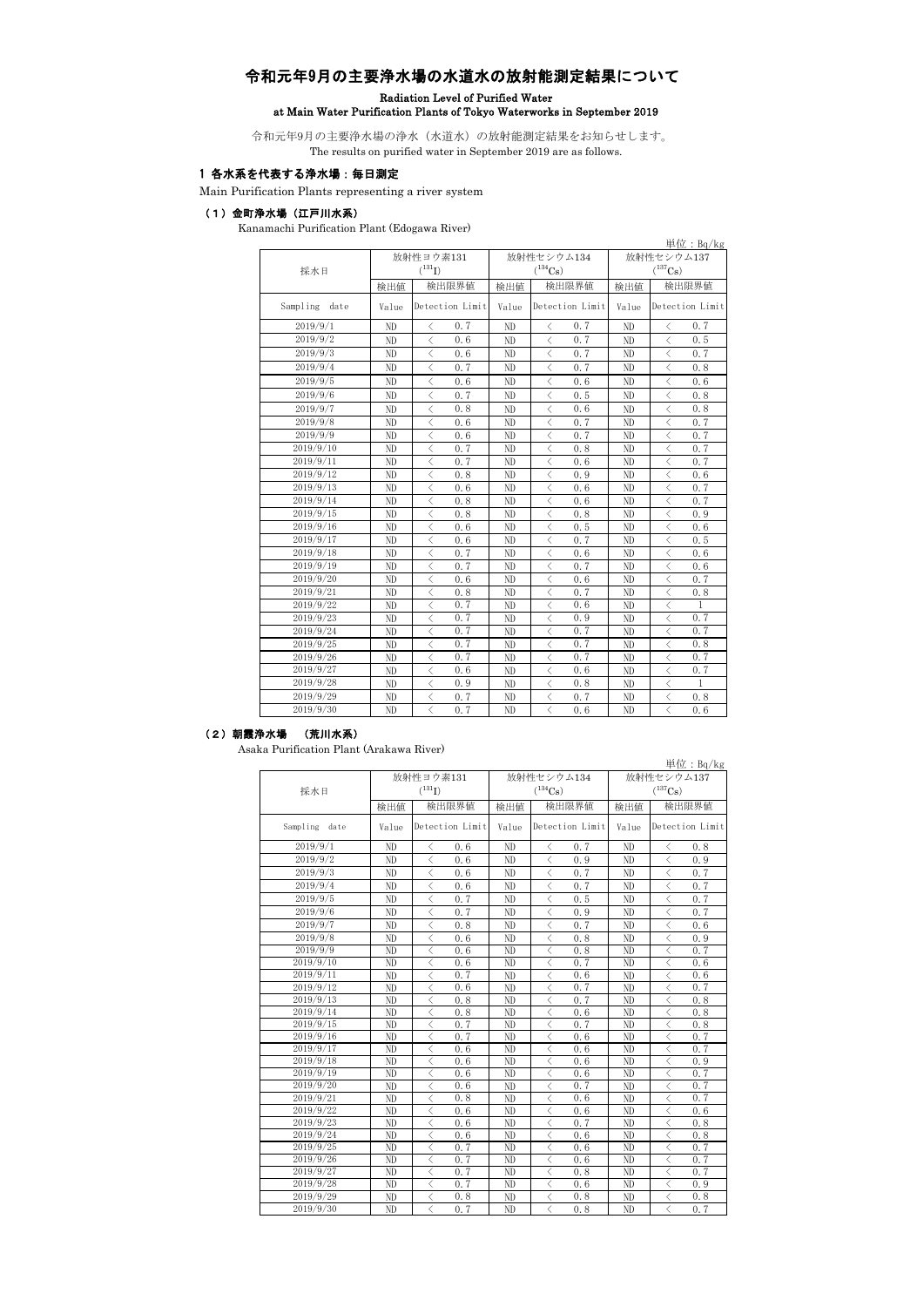## 令和元年9月の主要浄水場の水道水の放射能測定結果について

## Radiation Level of Purified Water

# at Main Water Purification Plants of Tokyo Waterworks in September 2019

令和元年9月の主要浄水場の浄水(水道水)の放射能測定結果をお知らせします。 The results on purified water in September 2019 are as follows.

#### 1 各水系を代表する浄水場:毎日測定

Main Purification Plants representing a river system

#### (1)金町浄水場(江戸川水系)

Kanamachi Purification Plant (Edogawa River)

|                  | 単位: $Bq/kg$ |                                                 |       |                                                 |            |                                                          |  |  |  |  |
|------------------|-------------|-------------------------------------------------|-------|-------------------------------------------------|------------|----------------------------------------------------------|--|--|--|--|
|                  |             | 放射性ヨウ素131                                       |       | 放射性セシウム134                                      | 放射性セシウム137 |                                                          |  |  |  |  |
| 採水日              |             | $(^{131}I)$                                     |       | $(^{134}\mathrm{Cs})$                           |            | $(^{137}\mathrm{Cs})$                                    |  |  |  |  |
|                  | 検出値         | 検出限界値                                           | 検出値   | 検出限界値                                           | 検出値        | 検出限界値                                                    |  |  |  |  |
| Sampling<br>date | Value       | Detection Limit                                 | Value | Detection Limit                                 | Value      | Detection Limit                                          |  |  |  |  |
| 2019/9/1         | ND          | 0.7<br>$\langle$                                | ND    | 0.7<br>$\langle$                                | ND         | 0.7<br>$\langle$                                         |  |  |  |  |
| 2019/9/2         | ND          | $\langle$<br>0.6                                | ND    | 0.7<br>$\langle$                                | ND         | $\langle$<br>0.5                                         |  |  |  |  |
| 2019/9/3         | ND          | $\overline{\left\langle \right\rangle }$<br>0.6 | ND    | $\langle$<br>0.7                                | ND         | $\langle$<br>0.7                                         |  |  |  |  |
| 2019/9/4         | ND          | $\overline{\left\langle \right\rangle }$<br>0.7 | ND    | $\langle$<br>0.7                                | ND         | $\overline{\left\langle \right\rangle }$<br>0.8          |  |  |  |  |
| 2019/9/5         | ND          | $\langle$<br>0.6                                | ND    | $\langle$<br>0.6                                | ND         | $\overline{\left\langle \right\rangle }$<br>0.6          |  |  |  |  |
| 2019/9/6         | ND          | $\langle$<br>0.7                                | ND    | $\langle$<br>0.5                                | ND         | $\lt$<br>0.8                                             |  |  |  |  |
| 2019/9/7         | ND          | $\langle$<br>0.8                                | ND    | 0.6<br>$\lt$                                    | ND         | 0.8<br>$\lt$                                             |  |  |  |  |
| 2019/9/8         | ND          | $\overline{\left\langle \right\rangle }$<br>0.6 | ND    | 0.7<br>$\langle$                                | ND         | 0.7<br>$\overline{\left\langle \right\rangle }$          |  |  |  |  |
| 2019/9/9         | ND          | $\langle$<br>0.6                                | ND    | $\langle$<br>0.7                                | ND         | $\lt$<br>0.7                                             |  |  |  |  |
| 2019/9/10        | ND          | 0.7<br>$\langle$                                | ND    | 0.8<br>$\langle$                                | ND         | 0.7<br>$\lt$                                             |  |  |  |  |
| 2019/9/11        | ND          | $\overline{\left\langle \right\rangle }$<br>0.7 | ND    | $\,<\,$<br>0.6                                  | ND         | $\langle$<br>0.7                                         |  |  |  |  |
| 2019/9/12        | ND          | $\overline{\left\langle \right\rangle }$<br>0.8 | ND    | $\langle$<br>0.9                                | ND         | $\langle$<br>0.6                                         |  |  |  |  |
| 2019/9/13        | ND          | $\langle$<br>0.6                                | ND    | $\langle$<br>0.6                                | ND         | $\langle$<br>0.7                                         |  |  |  |  |
| 2019/9/14        | ND          | $\langle$<br>0.8                                | ND    | $\langle$<br>0.6                                | ND         | $\overline{\left\langle \right\rangle }$<br>0.7          |  |  |  |  |
| 2019/9/15        | ND          | $\overline{\left\langle \right\rangle }$<br>0.8 | ND    | 0.8<br>$\langle$                                | ND         | 0.9<br>$\lt$                                             |  |  |  |  |
| 2019/9/16        | ND          | $\langle$<br>0.6                                | ND    | $\lt$<br>0.5                                    | ND         | $\lt$<br>0.6                                             |  |  |  |  |
| 2019/9/17        | ND          | $\overline{\left\langle \right\rangle }$<br>0.6 | ND    | 0.7<br>$\lt$                                    | ND         | $\overline{\left\langle \right\rangle }$<br>0.5          |  |  |  |  |
| 2019/9/18        | ND          | $\overline{\left\langle \right\rangle }$<br>0.7 | ND    | $\langle$<br>0.6                                | ND         | $\langle$<br>0.6                                         |  |  |  |  |
| 2019/9/19        | ND          | $\langle$<br>0.7                                | ND    | $\overline{\left\langle \right\rangle }$<br>0.7 | ND         | $\overline{\left\langle \right\rangle }$<br>0.6          |  |  |  |  |
| 2019/9/20        | ND          | $\overline{\left\langle \right\rangle }$<br>0.6 | ND    | $\overline{\left\langle \right\rangle }$<br>0.6 | ND         | 0.7<br>$\overline{\left\langle \right\rangle }$          |  |  |  |  |
| 2019/9/21        | ND          | $\overline{\left\langle \right\rangle }$<br>0.8 | ND    | $\overline{\left\langle \right\rangle }$<br>0.7 | ND         | $\langle$<br>0.8                                         |  |  |  |  |
| 2019/9/22        | ND          | $\overline{\left\langle \right\rangle }$<br>0.7 | ND    | $\overline{\left\langle \right\rangle }$<br>0.6 | ND         | $\overline{\left\langle \right\rangle }$<br>1            |  |  |  |  |
| 2019/9/23        | ND          | $\overline{\left\langle \right\rangle }$<br>0.7 | ND    | $\overline{\left\langle \right\rangle }$<br>0.9 | ND         | $\overline{\left\langle \right\rangle }$<br>0.7          |  |  |  |  |
| 2019/9/24        | ND          | $\overline{\left\langle \right\rangle }$<br>0.7 | ND    | $\overline{\left\langle \right\rangle }$<br>0.7 | ND         | $\overline{\left\langle \right\rangle }$<br>0.7          |  |  |  |  |
| 2019/9/25        | ND          | $\overline{\left\langle \right\rangle }$<br>0.7 | ND    | 0.7<br>$\overline{\left\langle \right\rangle }$ | ND         | $\overline{\left\langle \right\rangle }$<br>0.8          |  |  |  |  |
| 2019/9/26        | ND          | $\langle$<br>0.7                                | ND    | $\langle$<br>0.7                                | ND         | $\overline{\left\langle \right\rangle }$<br>0.7          |  |  |  |  |
| 2019/9/27        | ND          | $\overline{\left\langle \right\rangle }$<br>0.6 | ND    | $\langle$<br>0.6                                | ND         | $\langle$<br>0.7                                         |  |  |  |  |
| 2019/9/28        | ND          | $\overline{\left\langle \right\rangle }$<br>0.9 | ND    | $\overline{\left\langle \right\rangle }$<br>0.8 | ND         | $\overline{\left\langle \right\rangle }$<br>$\mathbf{1}$ |  |  |  |  |
| 2019/9/29        | ND          | $\langle$<br>0.7                                | ND    | $\langle$<br>0.7                                | ND         | $\overline{\left\langle \right\rangle }$<br>0, 8         |  |  |  |  |
| 2019/9/30        | ND          | $\langle$<br>0.7                                | ND    | $\lt$<br>0.6                                    | ND         | $\lt$<br>0.6                                             |  |  |  |  |

### (2)朝霞浄水場 (荒川水系)

Asaka Purification Plant (Arakawa River)

|                        |             | 放射性ヨウ素131                                             |                 |          | 放射性セシウム134                                        |            | 放射性セシウム137 |                                                       |            |
|------------------------|-------------|-------------------------------------------------------|-----------------|----------|---------------------------------------------------|------------|------------|-------------------------------------------------------|------------|
| 採水日                    | $(^{131}I)$ |                                                       |                 |          | $(^{134}Cs)$                                      |            |            | $(^{137}Cs)$                                          |            |
|                        | 検出値         |                                                       | 検出限界値           | 検出値      |                                                   | 検出限界値      | 検出値        |                                                       | 検出限界値      |
| Sampling date          | Value       |                                                       | Detection Limit |          | Detection Limit                                   |            | Value      | Detection Limit                                       |            |
| 2019/9/1               | ND          | ⟨                                                     | 0.6             | ND       | く                                                 | 0.7        | ND         | ✓                                                     | 0.8        |
| 2019/9/2               | ND          | $\langle$                                             | 0.6             | ND       | $\langle$                                         | 0.9        | ND         | $\langle$                                             | 0.9        |
| 2019/9/3               | ND          | $\langle$                                             | 0.6             | ND       | $\langle$                                         | 0.7        | ND         | $\langle$                                             | 0.7        |
| 2019/9/4               | ND          | $\langle$                                             | 0.6             | ND       | $\langle$                                         | 0.7        | ND         | $\langle$                                             | 0.7        |
| 2019/9/5               | ND          | $\langle$                                             | 0.7             | ND       | $\langle$                                         | 0.5        | ND         | $\langle$                                             | 0.7        |
| 2019/9/6               | ND          | $\langle$                                             | 0.7             | ND       | $\langle$                                         | 0.9        | ND         | $\langle$                                             | 0.7        |
| 2019/9/7               | ND          | $\langle$                                             | 0.8             | ND       | $\langle$                                         | 0.7        | ND         | $\langle$                                             | 0.6        |
| 2019/9/8               | ND          | $\langle$                                             | 0.6             | ND       | $\langle$                                         | 0.8        | ND         | $\langle$                                             | 0.9        |
| 2019/9/9               | ND          | $\langle$                                             | 0.6             | ND       | $\langle$                                         | 0.8        | ND         | $\langle$                                             | 0.7        |
| 2019/9/10              | ND          | $\langle$                                             | 0.6             | ND       | $\langle$                                         | 0.7        | ND         | $\langle$                                             | 0.6        |
| 2019/9/11              | ND          | $\langle$                                             | 0.7             | ND       | $\langle$                                         | 0.6        | ND         | ✓                                                     | 0.6        |
| 2019/9/12              | ND          | $\langle$                                             | 0.6             | ND       | $\lt$                                             | 0.7        | ND         | $\langle$                                             | 0.7        |
| 2019/9/13              | ND          | $\langle$                                             | 0.8             | ND       | $\lt$                                             | 0.7        | ND         | $\overline{\left\langle \right\rangle }$              | 0.8        |
| 2019/9/14              | ND          | $\langle$                                             | 0.8             | ND       | $\lt$                                             | 0.6        | ND         | ₹                                                     | 0.8        |
| 2019/9/15              | ND          | $\langle$                                             | 0.7             | ND       | $\langle$                                         | 0.7        | ND         | $\langle$                                             | 0.8        |
| 2019/9/16              | ND          | $\langle$                                             | 0.7             | ND       | $\langle$                                         | 0.6        | ND         | $\overline{\left\langle \right\rangle }$              | 0.7        |
| 2019/9/17              | ND          | $\langle$                                             | 0.6             | ND       | $\lt$                                             | 0.6        | ND         | $\langle$                                             | 0, 7       |
| 2019/9/18              | ND          | $\langle$                                             | 0.6             | ND       | $\langle$                                         | 0.6        | ND         | $\langle$                                             | 0.9        |
| 2019/9/19              | ND          | $\langle$                                             | 0.6             | ND       | $\langle$                                         | 0.6        | ND         | $\langle$                                             | 0.7        |
| 2019/9/20              | ND          | $\langle$                                             | 0.6             | ND       | $\langle$                                         | 0.7        | ND         | $\langle$                                             | 0.7        |
| 2019/9/21              | ND          | $\langle$                                             | 0.8             | ND       | $\langle$                                         | 0.6        | ND         | $\langle$                                             | 0.7        |
| 2019/9/22              | ND.         | $\langle$                                             | 0.6             | ND       | $\langle$                                         | 0.6        | ND         | $\overline{\left\langle \right\rangle }$              | 0, 6       |
| 2019/9/23              | ND          | $\langle$                                             | 0.6             | ND       | $\langle$                                         | 0.7        | ND         | $\langle$                                             | 0.8        |
| 2019/9/24              | ND          | $\langle$                                             | 0.6             | ND       | $\langle$                                         | 0.6        | ND         | $\langle$                                             | 0.8        |
| 2019/9/25              | ND          | $\langle$                                             | 0.7             | ND       | $\langle$                                         | 0.6        | ND         | $\langle$                                             | 0.7        |
| 2019/9/26              | ND          | $\langle$                                             | 0.7             | ND       | $\langle$                                         | 0.6        | ND         | $\langle$                                             | 0.7        |
| 2019/9/27              | ND          | $\langle$<br>$\langle$                                | 0.7             | ND       | $\langle$                                         | 0.8        | ND         | $\langle$<br>$\langle$                                | 0.7        |
| 2019/9/28<br>2019/9/29 | ND          |                                                       | 0.7             | ND       | $\langle$                                         | 0.6        | ND         |                                                       | 0.9        |
| 2019/9/30              | ND<br>ND    | $\langle$<br>$\overline{\left\langle \right\rangle }$ | 0.8<br>0.7      | ND<br>ND | $\lt$<br>$\overline{\left\langle \right\rangle }$ | 0.8<br>0.8 | ND<br>ND   | $\langle$<br>$\overline{\left\langle \right\rangle }$ | 0.8<br>0.7 |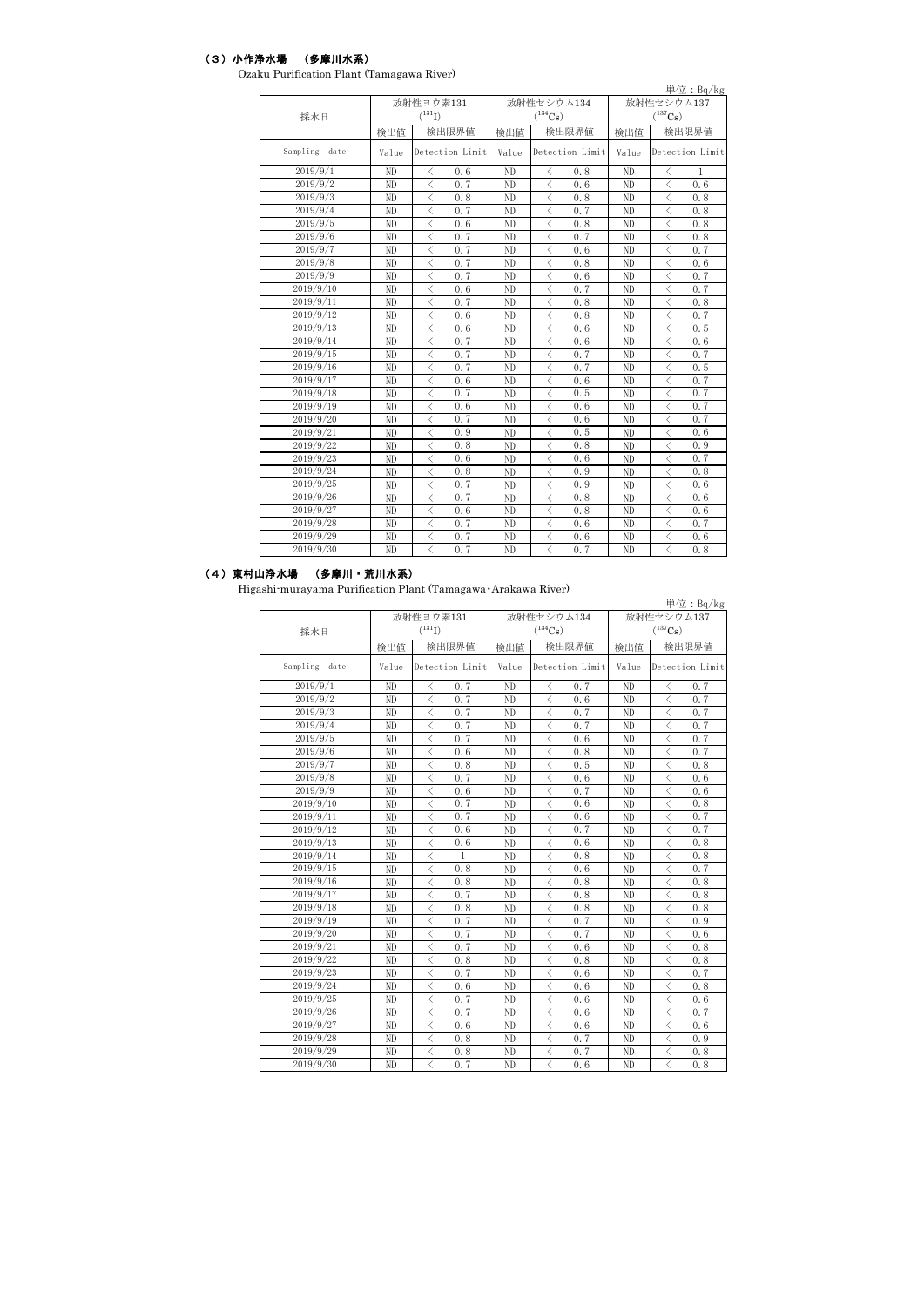## (3)小作浄水場 (多摩川水系)

| Ozaku Purification Plant (Tamagawa River) |  |  |
|-------------------------------------------|--|--|
|-------------------------------------------|--|--|

|               |       |                                                 |       |                                                 |              | 単位: $Bq/kg$                                      |  |  |
|---------------|-------|-------------------------------------------------|-------|-------------------------------------------------|--------------|--------------------------------------------------|--|--|
|               |       | 放射性ヨウ素131                                       |       | 放射性セシウム134                                      | 放射性セシウム137   |                                                  |  |  |
| 採水日           |       | $(^{131}I)$                                     |       | $(^{134}Cs)$                                    | $(^{137}Cs)$ |                                                  |  |  |
|               | 検出値   | 検出限界値                                           | 検出値   | 検出限界値                                           | 検出値          | 検出限界値                                            |  |  |
| Sampling date | Value | Detection Limit                                 | Value | Detection Limit                                 | Value        | Detection Limit                                  |  |  |
| 2019/9/1      | ND    | $\hspace{0.5cm}\mathopen\langle$<br>0.6         | ND    | く<br>0, 8                                       | ND           | $\,<\,$<br>1                                     |  |  |
| 2019/9/2      | ND    | $\langle$<br>0.7                                | ND    | $\overline{\left\langle \right\rangle }$<br>0.6 | ND           | $\overline{\left\langle \right\rangle }$<br>0.6  |  |  |
| 2019/9/3      | ND    | $\lt$<br>0.8                                    | ND    | 0.8<br>$\lt$                                    | ND           | $\lt$<br>0, 8                                    |  |  |
| 2019/9/4      | ND    | $\lt$<br>0.7                                    | ND    | 0.7<br>$\lt$                                    | ND           | $\lt$<br>0, 8                                    |  |  |
| 2019/9/5      | ND    | 0.6<br>$\langle$                                | ND    | 0.8<br>$\overline{\left\langle \right\rangle }$ | ND           | 0.8<br>$\overline{\left\langle \right\rangle }$  |  |  |
| 2019/9/6      | ND    | $\langle$<br>0.7                                | ND    | $\overline{\left\langle \right\rangle }$<br>0.7 | ND           | $\overline{\left\langle \right\rangle }$<br>0.8  |  |  |
| 2019/9/7      | ND    | $\langle$<br>0.7                                | ND    | $\overline{\left\langle \right\rangle }$<br>0.6 | ND           | $\overline{\left\langle \right\rangle }$<br>0.7  |  |  |
| 2019/9/8      | ND    | 0.7<br>$\langle$                                | ND    | $\overline{\left\langle \right\rangle }$<br>0.8 | ND           | $\overline{\left\langle \right\rangle }$<br>0.6  |  |  |
| 2019/9/9      | ND    | $\langle$<br>0.7                                | ND    | $\overline{\left\langle \right\rangle }$<br>0.6 | ND           | $\overline{\left\langle \right\rangle }$<br>0.7  |  |  |
| 2019/9/10     | ND    | $\langle$<br>0.6                                | ND    | 0.7<br>$\overline{\left\langle \right\rangle }$ | ND           | $\overline{\left\langle \right\rangle }$<br>0.7  |  |  |
| 2019/9/11     | ND    | $\langle$<br>0.7                                | ND    | $\overline{\left\langle \right\rangle }$<br>0.8 | ND           | $\overline{\left\langle \right\rangle }$<br>0, 8 |  |  |
| 2019/9/12     | ND    | $\overline{\left\langle \right\rangle }$<br>0.6 | ND    | $\overline{\left\langle \right\rangle }$<br>0.8 | ND           | $\overline{\left\langle \right\rangle }$<br>0.7  |  |  |
| 2019/9/13     | ND    | $\langle$<br>0.6                                | ND    | $\overline{\left\langle \right\rangle }$<br>0.6 | ND           | $\overline{\left\langle \right\rangle }$<br>0.5  |  |  |
| 2019/9/14     | ND    | $\overline{\left\langle \right\rangle }$<br>0.7 | ND    | $\overline{\left\langle \right\rangle }$<br>0.6 | ND           | $\overline{\left\langle \right\rangle }$<br>0.6  |  |  |
| 2019/9/15     | ND    | $\overline{\left\langle \right\rangle }$<br>0.7 | ND    | $\lt$<br>0, 7                                   | ND           | $\overline{\left\langle \right\rangle }$<br>0.7  |  |  |
| 2019/9/16     | ND    | $\lt$<br>0.7                                    | ND    | $\lt$<br>0, 7                                   | ND           | $\lt$<br>0.5                                     |  |  |
| 2019/9/17     | ND    | $\lt$<br>0.6                                    | ND    | $\lt$<br>0.6                                    | ND           | $\lt$<br>0.7                                     |  |  |
| 2019/9/18     | ND    | $\overline{\left\langle \right\rangle }$<br>0.7 | ND    | $\overline{\left\langle \right\rangle }$<br>0.5 | ND           | $\overline{\left\langle \right\rangle }$<br>0.7  |  |  |
| 2019/9/19     | ND    | $\langle$<br>0.6                                | ND    | $\langle$<br>0.6                                | ND           | $\lt$<br>0.7                                     |  |  |
| 2019/9/20     | ND    | 0.7<br>$\lt$                                    | ND    | 0.6<br>$\lt$                                    | ND           | 0.7<br>$\lt$                                     |  |  |
| 2019/9/21     | ND    | $\lt$<br>0.9                                    | ND    | $\lt$<br>0.5                                    | ND           | $\lt$<br>0.6                                     |  |  |
| 2019/9/22     | ND    | $\lt$<br>0.8                                    | ND    | $\lt$<br>0.8                                    | ND           | $\lt$<br>0.9                                     |  |  |
| 2019/9/23     | ND    | ぐ<br>0.6                                        | ND    | く<br>0.6                                        | ND           | ८<br>0.7                                         |  |  |
| 2019/9/24     | ND    | ८<br>0.8                                        | ND    | く<br>0.9                                        | ND           | ८<br>0.8                                         |  |  |
| 2019/9/25     | ND    | 0.7<br>$\langle$                                | ND    | $\lt$<br>0.9                                    | ND           | $\overline{\left\langle \right\rangle }$<br>0.6  |  |  |
| 2019/9/26     | ND    | $\langle$<br>0.7                                | ND    | $\lt$<br>0.8                                    | ND           | $\overline{\left\langle \right\rangle }$<br>0.6  |  |  |
| 2019/9/27     | ND    | $\langle$<br>0.6                                | ND    | $\lt$<br>0.8                                    | ND           | $\overline{\left\langle \right\rangle }$<br>0.6  |  |  |
| 2019/9/28     | ND    | $\langle$<br>0.7                                | ND    | $\lt$<br>0.6                                    | ND           | $\lt$<br>0.7                                     |  |  |
| 2019/9/29     | ND    | ぐ<br>0.7                                        | ND    | く<br>0, 6                                       | ND           | $\overline{\left\langle \right\rangle }$<br>0.6  |  |  |
| 2019/9/30     | ND    | $\overline{\left\langle \right\rangle }$<br>0.7 | ND    | $\overline{\left\langle \right\rangle }$<br>0.7 | ND           | $\overline{\left\langle \right\rangle }$<br>0.8  |  |  |

## (4)東村山浄水場 (多摩川・荒川水系)

Higashi-murayama Purification Plant (Tamagawa・Arakawa River)

|                      |       |                                          |                 |       |                                          |       |              |                                          | 単位: $Bq/kg$ |  |
|----------------------|-------|------------------------------------------|-----------------|-------|------------------------------------------|-------|--------------|------------------------------------------|-------------|--|
|                      |       | 放射性ヨウ素131                                |                 |       | 放射性セシウム134                               |       | 放射性セシウム137   |                                          |             |  |
| 採水日                  |       | $(^{131}I)$                              |                 |       | $(^{134}Cs)$                             |       | $(^{137}Cs)$ |                                          |             |  |
|                      | 検出値   |                                          | 検出限界値           | 検出値   |                                          | 検出限界値 | 検出値          |                                          | 検出限界値       |  |
| Sampling date        | Value |                                          | Detection Limit | Value | Detection Limit                          |       | Value        | Detection Limit                          |             |  |
| 2019/9/1             | ND    | $\langle$                                | 0.7             | ND    | $\langle$                                | 0.7   | ND           | $\langle$                                | 0.7         |  |
| 2019/9/2             | ND    | $\overline{\left\langle \right\rangle }$ | 0.7             | ND    | $\langle$                                | 0.6   | ND           | $\overline{\left\langle \right\rangle }$ | 0.7         |  |
| 2019/9/3             | ND    | $\langle$                                | 0.7             | ND    | $\lt$                                    | 0.7   | ND           | $\lt$                                    | 0.7         |  |
| 2019/9/4             | ND    | $\langle$                                | 0.7             | ND    | $\langle$                                | 0.7   | ND           | $\langle$                                | 0.7         |  |
| 2019/9/5             | ND.   | $\langle$                                | 0.7             | ND    | $\lt$                                    | 0.6   | ND           | $\lt$                                    | 0.7         |  |
| 2019/9/6             | ND    | $\langle$                                | 0.6             | ND    | $\lt$                                    | 0.8   | ND           | $\lt$                                    | 0.7         |  |
| 2019/9/7             | ND    | $\langle$                                | 0.8             | ND    | $\langle$                                | 0.5   | ND           | $\langle$                                | 0.8         |  |
| 2019/9/8             | ND    | $\langle$                                | 0.7             | ND    | $\,<$                                    | 0.6   | ND           | $\langle$                                | 0.6         |  |
| 2019/9/9             | ND    | $\langle$                                | 0.6             | ND    | $\,<\,$                                  | 0.7   | ND           | $\lt$                                    | 0.6         |  |
| 2019/9/10            | ND    | $\langle$                                | 0.7             | ND    | $\langle$                                | 0.6   | ND           | $\langle$                                | 0.8         |  |
| 2019/9/11            | ND.   | $\langle$                                | 0.7             | ND    | $\langle$                                | 0.6   | ND           | $\lt$                                    | 0.7         |  |
| 2019/9/12            | ND    | $\,<\,$                                  | 0.6             | ND    | $\langle$                                | 0.7   | ND           | $\langle$                                | 0.7         |  |
| $\frac{2019}{9}$ /13 | ND.   | $\langle$                                | 0.6             | ND    | $\langle$                                | 0.6   | ND           | $\langle$                                | 0.8         |  |
| 2019/9/14            | ND.   | $\langle$                                | $\mathbf{1}$    | ND    | $\langle$                                | 0.8   | ND           | $\langle$                                | 0.8         |  |
| 2019/9/15            | ND    | $\langle$                                | 0.8             | ND    | $\langle$                                | 0.6   | ND           | $\langle$                                | 0.7         |  |
| 2019/9/16            | ND.   | $\langle$                                | 0.8             | ND    | $\langle$                                | 0.8   | ND           | $\langle$                                | 0.8         |  |
| 2019/9/17            | ND    | $\langle$                                | 0.7             | ND    | $\langle$                                | 0.8   | ND           | $\langle$                                | 0.8         |  |
| 2019/9/18            | ND    | $\,<\,$                                  | 0.8             | ND    | $\langle$                                | 0.8   | ND           | $\langle$                                | 0.8         |  |
| 2019/9/19            | ND    | $\,<\,$                                  | 0.7             | ND    | $\langle$                                | 0.7   | ND           | $\langle$                                | 0.9         |  |
| 2019/9/20            | ND    | $\langle$                                | 0.7             | ND    | $\overline{\left\langle \right\rangle }$ | 0.7   | ND           | $\langle$                                | 0.6         |  |
| 2019/9/21            | ND    | $\langle$                                | 0.7             | ND    | $\langle$                                | 0.6   | ND           | $\langle$                                | 0.8         |  |
| 2019/9/22            | ND    | $\langle$                                | 0.8             | ND    | $\langle$                                | 0.8   | ND           | $\langle$                                | 0.8         |  |
| 2019/9/23            | ND    | $\langle$                                | 0.7             | ND    | $\langle$                                | 0.6   | ND           | $\langle$                                | 0.7         |  |
| 2019/9/24            | ND    | $\langle$                                | 0.6             | ND    | $\langle$                                | 0.6   | ND           | $\langle$                                | 0.8         |  |
| 2019/9/25            | ND    | $\langle$                                | 0.7             | ND    | $\overline{\left\langle \right\rangle }$ | 0.6   | ND           | $\overline{\left\langle \right\rangle }$ | 0.6         |  |
| 2019/9/26            | ND    | $\langle$                                | 0.7             | ND    | $\langle$                                | 0.6   | ND           | $\overline{\left\langle \right\rangle }$ | 0.7         |  |
| 2019/9/27            | ND    | $\langle$                                | 0.6             | ND    | $\langle$                                | 0.6   | ND           | $\overline{\left\langle \right\rangle }$ | 0, 6        |  |
| 2019/9/28            | ND    | $\langle$                                | 0.8             | ND    | $\langle$                                | 0.7   | ND           | $\langle$                                | 0.9         |  |
| 2019/9/29            | ND    | $\langle$                                | 0.8             | ND    | $\langle$                                | 0.7   | ND           | $\langle$                                | 0.8         |  |
| 2019/9/30            | ND    | $\overline{\left\langle \right\rangle }$ | 0.7             | ND    | $\langle$                                | 0.6   | ND           | $\overline{\left\langle \right\rangle }$ | 0.8         |  |